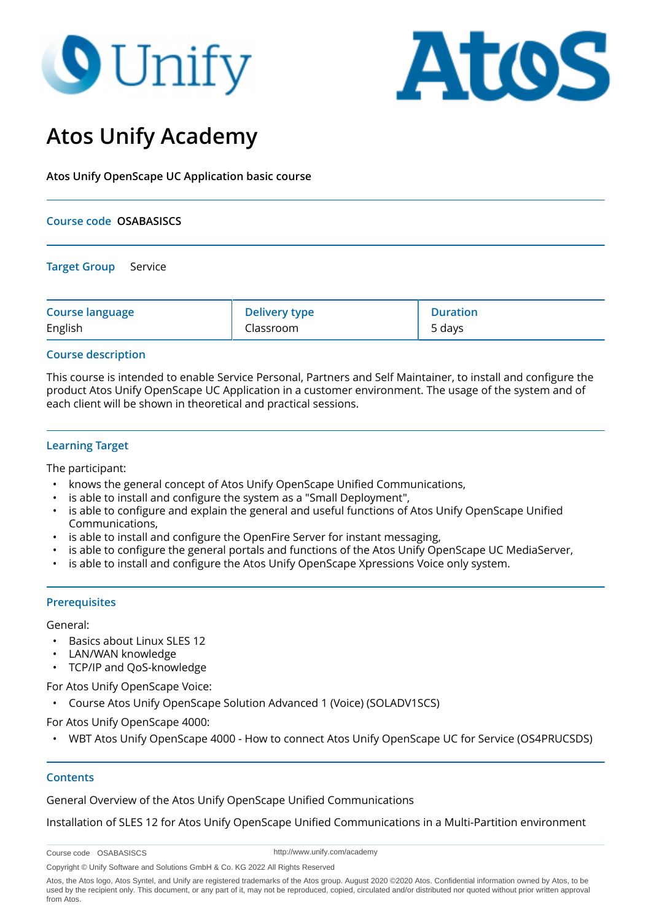# **O** Unify



# **Atos Unify Academy**

**Atos Unify OpenScape UC Application basic course**

#### **Course code OSABASISCS**

**Target Group** Service

| <b>Course language</b> | <b>Delivery type</b> | <b>Duration</b> |
|------------------------|----------------------|-----------------|
| English                | Classroom            | 5 days          |

#### **Course description**

This course is intended to enable Service Personal, Partners and Self Maintainer, to install and configure the product Atos Unify OpenScape UC Application in a customer environment. The usage of the system and of each client will be shown in theoretical and practical sessions.

#### **Learning Target**

The participant:

- knows the general concept of Atos Unify OpenScape Unified Communications,
- is able to install and configure the system as a "Small Deployment",
- is able to configure and explain the general and useful functions of Atos Unify OpenScape Unified Communications,
- is able to install and configure the OpenFire Server for instant messaging,
- is able to configure the general portals and functions of the Atos Unify OpenScape UC MediaServer,
- is able to install and configure the Atos Unify OpenScape Xpressions Voice only system.

#### **Prerequisites**

General:

- Basics about Linux SLES 12
- LAN/WAN knowledge
- TCP/IP and QoS-knowledge

For Atos Unify OpenScape Voice:

• Course Atos Unify OpenScape Solution Advanced 1 (Voice) (SOLADV1SCS)

For Atos Unify OpenScape 4000:

• WBT Atos Unify OpenScape 4000 - How to connect Atos Unify OpenScape UC for Service (OS4PRUCSDS)

#### **Contents**

General Overview of the Atos Unify OpenScape Unified Communications

Installation of SLES 12 for Atos Unify OpenScape Unified Communications in a Multi-Partition environment

Course code OSABASISCS

http://www.unify.com/academy

Copyright © Unify Software and Solutions GmbH & Co. KG 2022 All Rights Reserved

Atos, the Atos logo, Atos Syntel, and Unify are registered trademarks of the Atos group. August 2020 ©2020 Atos. Confidential information owned by Atos, to be used by the recipient only. This document, or any part of it, may not be reproduced, copied, circulated and/or distributed nor quoted without prior written approval from Atos.